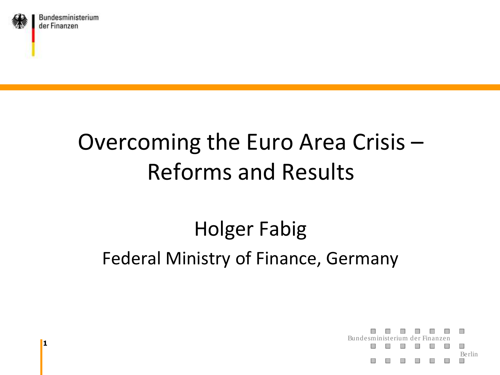

Bundesministerium der Finanzen

#### Overcoming the Euro Area Crisis – Reforms and Results

#### Holger Fabig Federal Ministry of Finance, Germany



**1**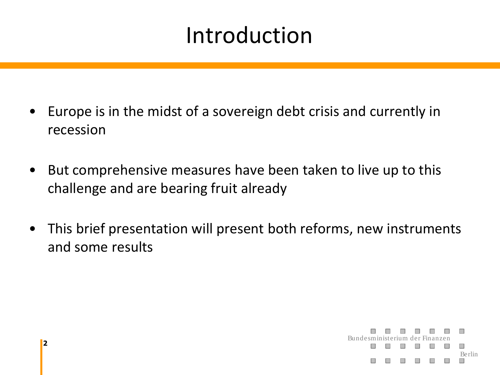#### Introduction

- Europe is in the midst of a sovereign debt crisis and currently in recession
- But comprehensive measures have been taken to live up to this challenge and are bearing fruit already
- This brief presentation will present both reforms, new instruments and some results

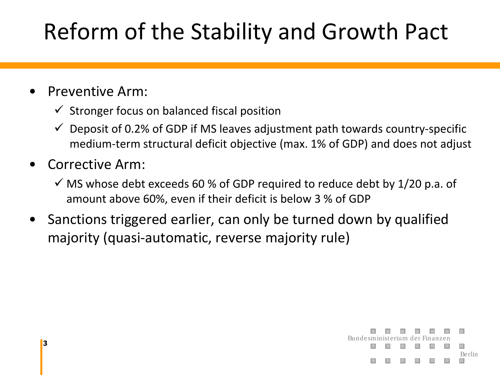### Reform of the Stability and Growth Pact

#### • Preventive Arm:

- $\checkmark$  Stronger focus on balanced fiscal position
- $\checkmark$  Deposit of 0.2% of GDP if MS leaves adjustment path towards country-specific medium-term structural deficit objective (max. 1% of GDP) and does not adjust
- Corrective Arm:
	- $\checkmark$  MS whose debt exceeds 60 % of GDP required to reduce debt by 1/20 p.a. of amount above 60%, even if their deficit is below 3 % of GDP
- Sanctions triggered earlier, can only be turned down by qualified majority (quasi-automatic, reverse majority rule)

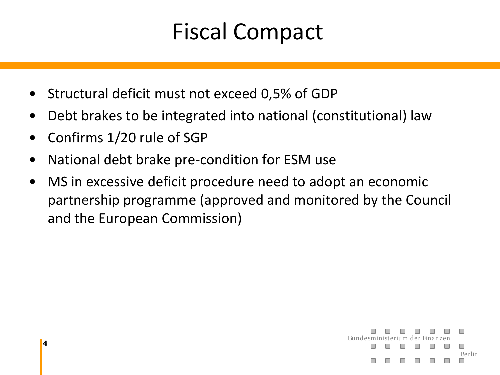#### Fiscal Compact

- Structural deficit must not exceed 0,5% of GDP
- Debt brakes to be integrated into national (constitutional) law
- Confirms 1/20 rule of SGP
- National debt brake pre-condition for ESM use
- MS in excessive deficit procedure need to adopt an economic partnership programme (approved and monitored by the Council and the European Commission)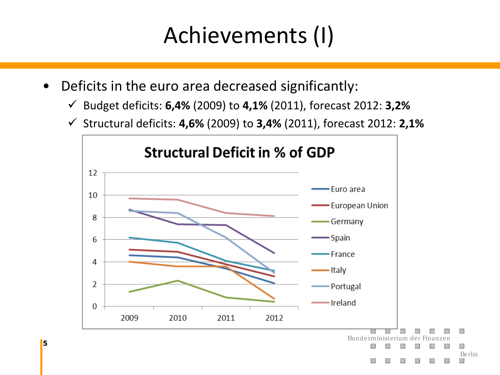#### Achievements (I)

• Deficits in the euro area decreased significantly:

**5**

- Budget deficits: **6,4%** (2009) to **4,1%** (2011), forecast 2012: **3,2%**
- Structural deficits: **4,6%** (2009) to **3,4%** (2011), forecast 2012: **2,1%**

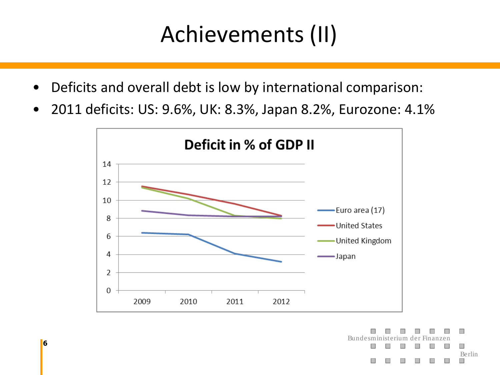#### Achievements (II)

- Deficits and overall debt is low by international comparison:
- 2011 deficits: US: 9.6%, UK: 8.3%, Japan 8.2%, Eurozone: 4.1%

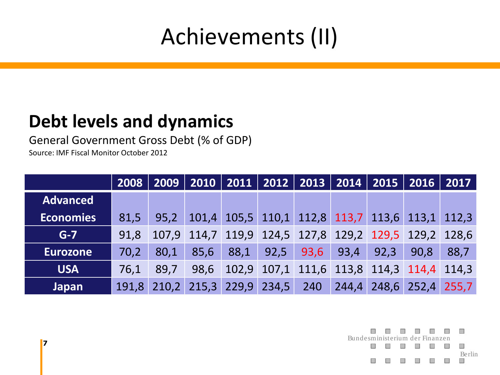#### Achievements (II)

#### **Debt levels and dynamics**

General Government Gross Debt (% of GDP)

Source: IMF Fiscal Monitor October 2012

|                  | 2008  | 2009   2010   2011   2012   2013   2014   2015   2016   2017 |      |                   |                      |                                                       |      |                         |      |      |
|------------------|-------|--------------------------------------------------------------|------|-------------------|----------------------|-------------------------------------------------------|------|-------------------------|------|------|
| <b>Advanced</b>  |       |                                                              |      |                   |                      |                                                       |      |                         |      |      |
| <b>Economies</b> | 81,5  | 95,2                                                         |      |                   |                      | 101,4 105,5 110,1 112,8 113,7 113,6 113,1 112,3       |      |                         |      |      |
| $G-7$            | 91,8  |                                                              |      |                   |                      | 107,9 114,7 119,9 124,5 127,8 129,2 129,5 129,2 128,6 |      |                         |      |      |
| <b>Eurozone</b>  | 70.2  | 80,1                                                         | 85,6 | 88,1              | $\vert$ 92,5 $\vert$ | 93,6                                                  | 93,4 | 92,3                    | 90.8 | 88,7 |
| <b>USA</b>       | 76.1  | 89.7                                                         | 98.6 |                   |                      | 102,9 107,1 111,6 113,8 114,3 114,4 114,3             |      |                         |      |      |
| <b>Japan</b>     | 191,8 | 210.2                                                        |      | 215,3 229,9 234,5 |                      | 240                                                   |      | 244,4 248,6 252,4 255,7 |      |      |

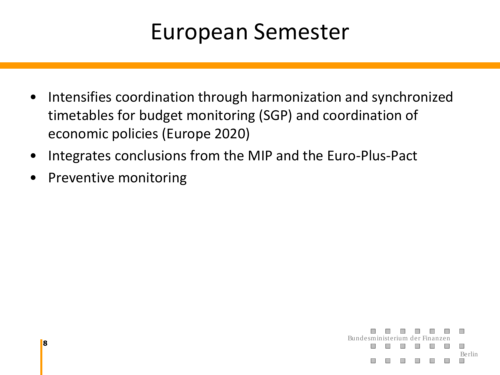#### European Semester

- Intensifies coordination through harmonization and synchronized timetables for budget monitoring (SGP) and coordination of economic policies (Europe 2020)
- Integrates conclusions from the MIP and the Euro-Plus-Pact
- Preventive monitoring

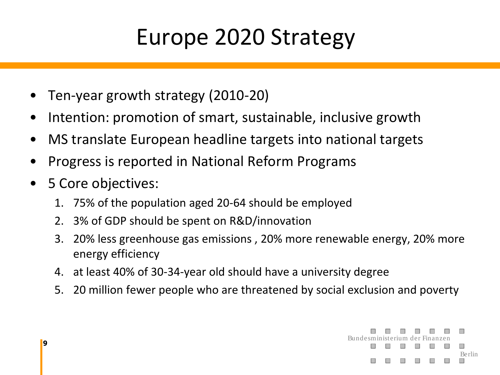#### Europe 2020 Strategy

- Ten-year growth strategy (2010-20)
- Intention: promotion of smart, sustainable, inclusive growth
- MS translate European headline targets into national targets
- Progress is reported in National Reform Programs
- 5 Core objectives:
	- 1. 75% of the population aged 20-64 should be employed
	- 2. 3% of GDP should be spent on R&D/innovation
	- 3. 20% less greenhouse gas emissions , 20% more renewable energy, 20% more energy efficiency
	- 4. at least 40% of 30-34-year old should have a university degree
	- 5. 20 million fewer people who are threatened by social exclusion and poverty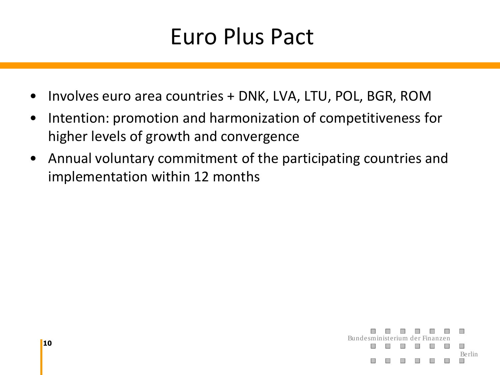#### Euro Plus Pact

- Involves euro area countries + DNK, LVA, LTU, POL, BGR, ROM
- Intention: promotion and harmonization of competitiveness for higher levels of growth and convergence
- Annual voluntary commitment of the participating countries and implementation within 12 months

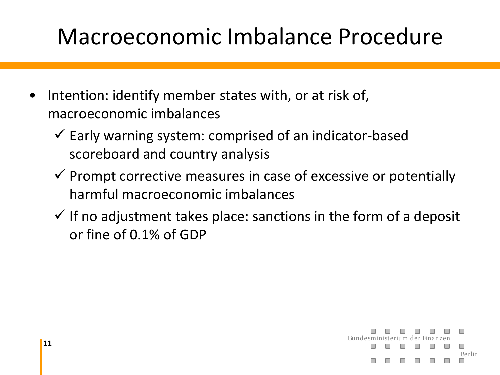#### Macroeconomic Imbalance Procedure

- Intention: identify member states with, or at risk of, macroeconomic imbalances
	- $\checkmark$  Early warning system: comprised of an indicator-based scoreboard and country analysis
	- $\checkmark$  Prompt corrective measures in case of excessive or potentially harmful macroeconomic imbalances
	- $\checkmark$  If no adjustment takes place: sanctions in the form of a deposit or fine of 0.1% of GDP

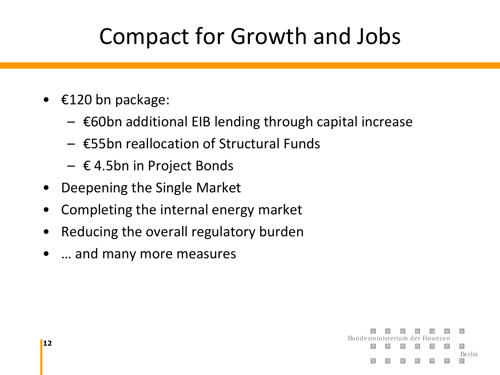#### Compact for Growth and Jobs

- $\epsilon$ 120 bn package:
	- $\epsilon$ 60bn additional EIB lending through capital increase
	- $\epsilon$ 55bn reallocation of Structural Funds
	- $\epsilon$  4.5bn in Project Bonds
- Deepening the Single Market
- Completing the internal energy market
- Reducing the overall regulatory burden
- ... and many more measures

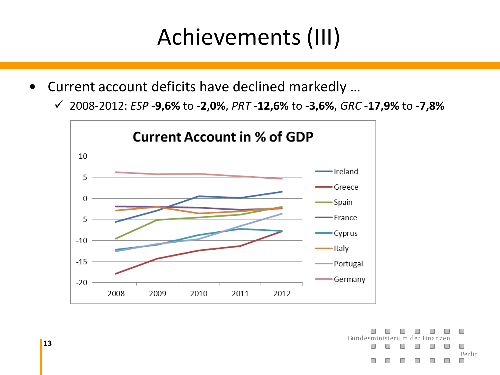#### Achievements (III)

- Current account deficits have declined markedly …
	- 2008-2012: *ESP* **-9,6%** to **-2,0%**, *PRT* **-12,6%** to **-3,6%**, *GRC* **-17,9%** to **-7,8%**



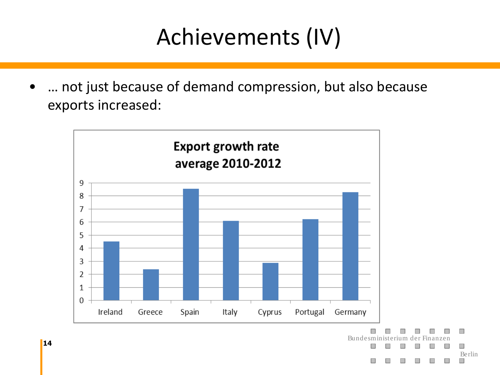#### Achievements (IV)

... not just because of demand compression, but also because exports increased:



Berlin

**14**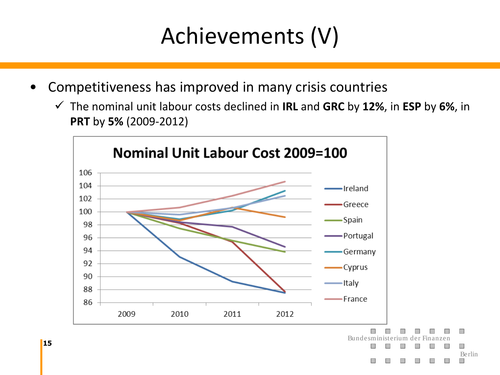#### Achievements (V)

- Competitiveness has improved in many crisis countries
	- The nominal unit labour costs declined in **IRL** and **GRC** by **12%**, in **ESP** by **6%**, in **PRT** by **5%** (2009-2012)

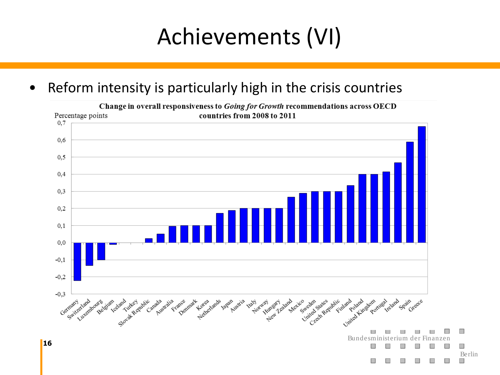#### Achievements (VI)

#### • Reform intensity is particularly high in the crisis countries



Change in overall responsiveness to Going for Growth recommendations across OECD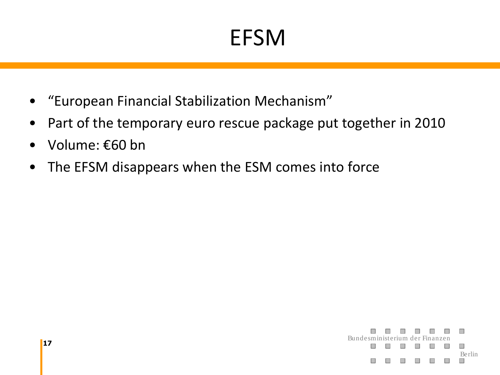#### EFSM

- "European Financial Stabilization Mechanism"
- Part of the temporary euro rescue package put together in 2010
- Volume: €60 bn
- The EFSM disappears when the ESM comes into force

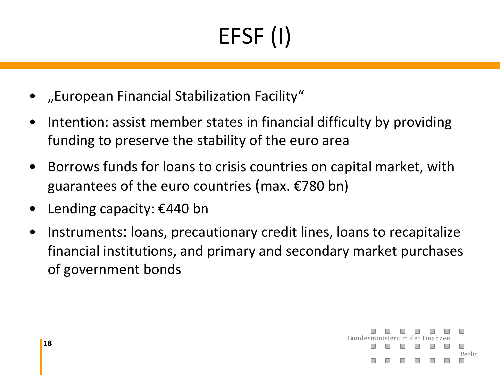# EFSF (I)

- "European Financial Stabilization Facility"
- Intention: assist member states in financial difficulty by providing funding to preserve the stability of the euro area
- Borrows funds for loans to crisis countries on capital market, with guarantees of the euro countries (max. €780 bn)
- Lending capacity: €440 bn
- Instruments: loans, precautionary credit lines, loans to recapitalize financial institutions, and primary and secondary market purchases of government bonds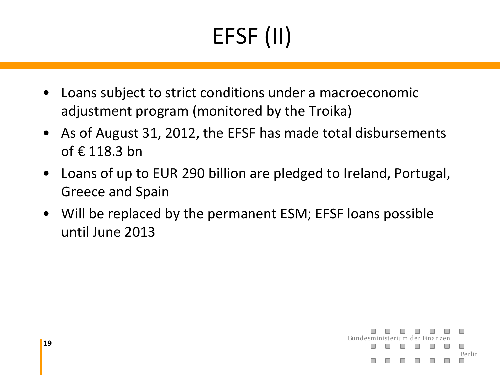# EFSF (II)

- Loans subject to strict conditions under a macroeconomic adjustment program (monitored by the Troika)
- As of August 31, 2012, the EFSF has made total disbursements of € 118.3 bn
- Loans of up to EUR 290 billion are pledged to Ireland, Portugal, Greece and Spain
- Will be replaced by the permanent ESM; EFSF loans possible until June 2013

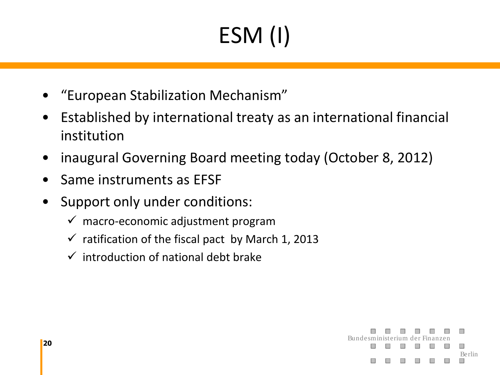# ESM (I)

- "European Stabilization Mechanism"
- Established by international treaty as an international financial institution
- inaugural Governing Board meeting today (October 8, 2012)
- Same instruments as EFSF
- Support only under conditions:
	- $\checkmark$  macro-economic adjustment program
	- $\checkmark$  ratification of the fiscal pact by March 1, 2013
	- $\checkmark$  introduction of national debt brake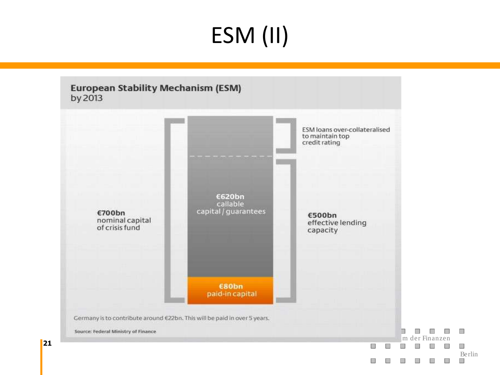## ESM (II)

**European Stability Mechanism (ESM)** by 2013

**21**

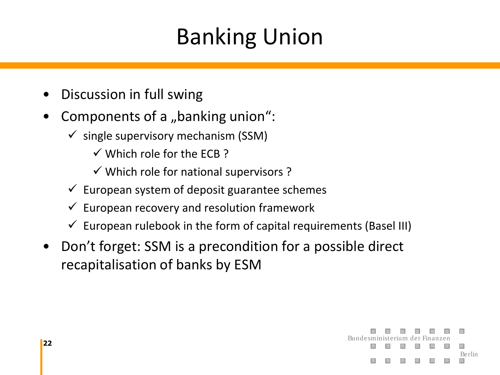#### Banking Union

- Discussion in full swing
- Components of a "banking union":
	- $\checkmark$  single supervisory mechanism (SSM)
		- $\checkmark$  Which role for the FCB?
		- $\checkmark$  Which role for national supervisors ?
	- $\checkmark$  European system of deposit guarantee schemes
	- $\checkmark$  European recovery and resolution framework
	- $\checkmark$  European rulebook in the form of capital requirements (Basel III)
- Don't forget: SSM is a precondition for a possible direct recapitalisation of banks by ESM

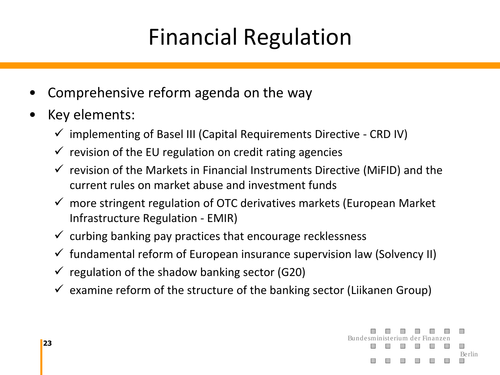#### Financial Regulation

- Comprehensive reform agenda on the way
- Key elements:
	- $\checkmark$  implementing of Basel III (Capital Requirements Directive CRD IV)
	- $\checkmark$  revision of the EU regulation on credit rating agencies
	- $\checkmark$  revision of the Markets in Financial Instruments Directive (MiFID) and the current rules on market abuse and investment funds
	- $\checkmark$  more stringent regulation of OTC derivatives markets (European Market Infrastructure Regulation - EMIR)
	- $\checkmark$  curbing banking pay practices that encourage recklessness
	- $\checkmark$  fundamental reform of European insurance supervision law (Solvency II)
	- $\checkmark$  regulation of the shadow banking sector (G20)
	- $\checkmark$  examine reform of the structure of the banking sector (Liikanen Group)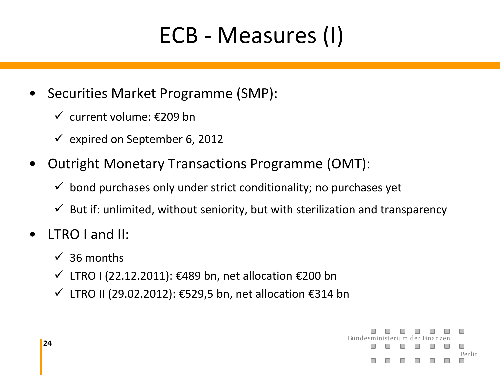#### ECB - Measures (I)

- Securities Market Programme (SMP):
	- $\checkmark$  current volume: €209 bn
	- $\checkmark$  expired on September 6, 2012
- Outright Monetary Transactions Programme (OMT):
	- $\checkmark$  bond purchases only under strict conditionality; no purchases yet
	- $\checkmark$  But if: unlimited, without seniority, but with sterilization and transparency
- LTRO I and II:
	- $\checkmark$  36 months
	- $\checkmark$  LTRO I (22.12.2011): €489 bn, net allocation €200 bn
	- LTRO II (29.02.2012): €529,5 bn, net allocation €314 bn

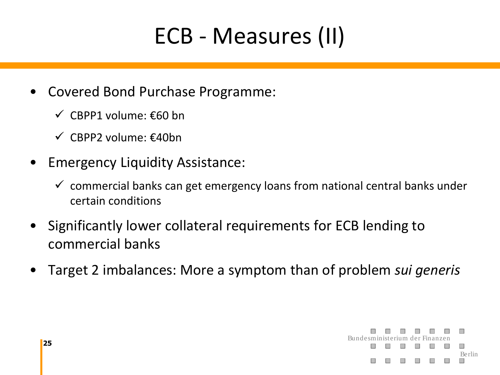#### ECB - Measures (II)

- Covered Bond Purchase Programme:
	- CBPP1 volume: €60 bn
	- $\checkmark$  CBPP2 volume:  $\epsilon$ 40bn
- Emergency Liquidity Assistance:
	- $\checkmark$  commercial banks can get emergency loans from national central banks under certain conditions
- Significantly lower collateral requirements for ECB lending to commercial banks
- Target 2 imbalances: More a symptom than of problem *sui generis*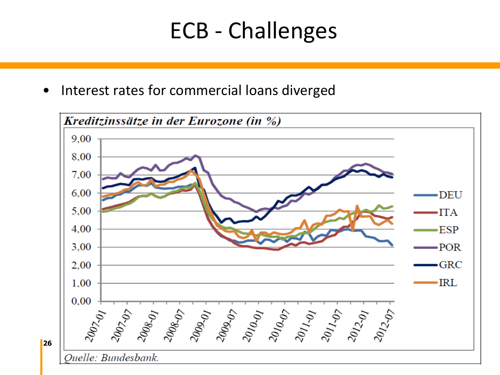#### ECB - Challenges

• Interest rates for commercial loans diverged

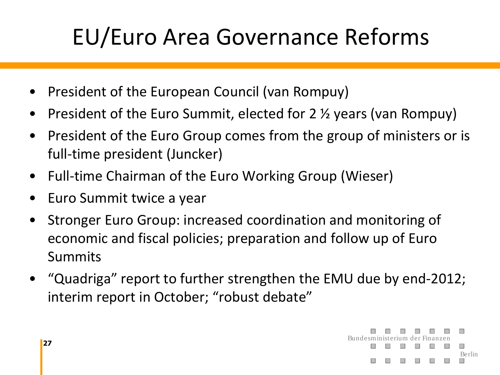### EU/Euro Area Governance Reforms

- President of the European Council (van Rompuy)
- President of the Euro Summit, elected for 2  $\frac{1}{2}$  years (van Rompuy)
- President of the Euro Group comes from the group of ministers or is full-time president (Juncker)
- Full-time Chairman of the Euro Working Group (Wieser)
- Euro Summit twice a year
- Stronger Euro Group: increased coordination and monitoring of economic and fiscal policies; preparation and follow up of Euro Summits
- "Quadriga" report to further strengthen the EMU due by end-2012; interim report in October; "robust debate"